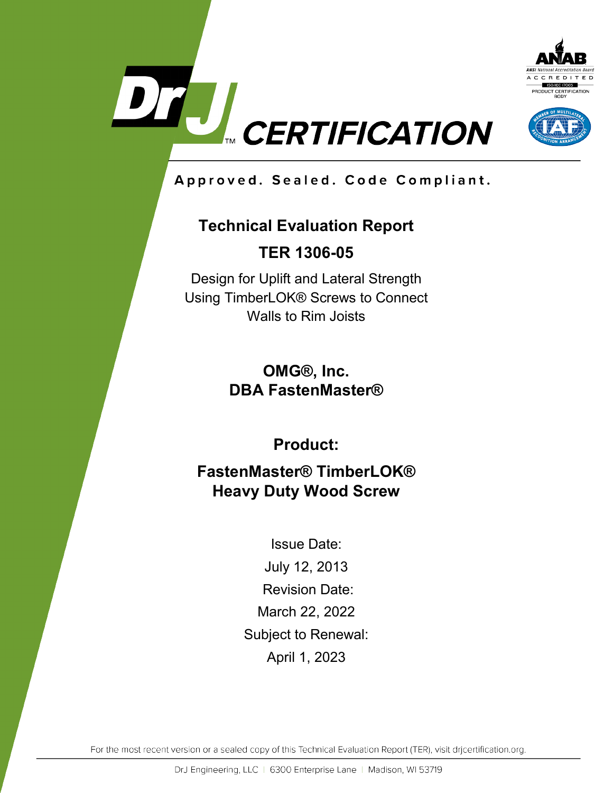



Approved. Sealed. Code Compliant.

# **Technical Evaluation Report**

**TER 1306-05**

Design for Uplift and Lateral Strength Using TimberLOK® Screws to Connect Walls to Rim Joists

> **OMG®, Inc. DBA FastenMaster®**

> > **Product:**

**FastenMaster® TimberLOK® Heavy Duty Wood Screw**

> Issue Date: July 12, 2013 Revision Date: March 22, 2022 Subject to Renewal: April 1, 2023

For the most recent version or a sealed copy of this Technical Evaluation Report (TER), visit drjcertification.org.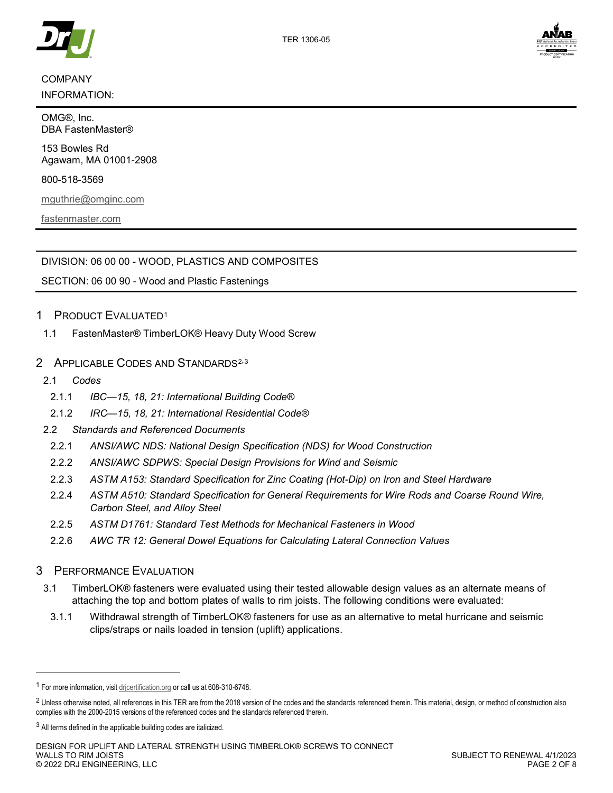

## COMPANY

INFORMATION:

OMG®, Inc. DBA FastenMaster®

153 Bowles Rd Agawam, MA 01001-2908

800-518-3569

[mguthrie@omginc.com](mailto:MGuthrie@omginc.com?subject=TER%201306-05%20Design%20for%20Uplift%20and%20Lateral%20Strength%20Using%20TimberLOK%20Screws%20to%20Connect%20Walls%20to%20Rim%20Joists)

[fastenmaster.com](https://www.fastenmaster.com/)



DIVISION: 06 00 00 - WOOD, PLASTICS AND COMPOSITES

## 1 PRODUCT EVALUATED[1](#page-1-0)

<span id="page-1-3"></span>1.1 FastenMaster® TimberLOK® Heavy Duty Wood Screw

## 2 APPLICABLE CODES AND STANDARDS<sup>[2,](#page-1-1)[3](#page-1-2)</sup>

2.1 *Codes*

-

- 2.1.1 *IBC—15, 18, 21: International Building Code®*
- 2.1.2 *IRC—15, 18, 21: International Residential Code®*
- 2.2 *Standards and Referenced Documents*
	- 2.2.1 *ANSI/AWC NDS: National Design Specification (NDS) for Wood Construction*
	- 2.2.2 *ANSI/AWC SDPWS: Special Design Provisions for Wind and Seismic*
	- 2.2.3 *ASTM A153: Standard Specification for Zinc Coating (Hot-Dip) on Iron and Steel Hardware*
	- 2.2.4 *ASTM A510: Standard Specification for General Requirements for Wire Rods and Coarse Round Wire, Carbon Steel, and Alloy Steel*
	- 2.2.5 *ASTM D1761: Standard Test Methods for Mechanical Fasteners in Wood*
	- 2.2.6 *AWC TR 12: General Dowel Equations for Calculating Lateral Connection Values*

## 3 PERFORMANCE EVALUATION

- 3.1 TimberLOK® fasteners were evaluated using their tested allowable design values as an alternate means of attaching the top and bottom plates of walls to rim joists. The following conditions were evaluated:
- 3.1.1 Withdrawal strength of TimberLOK® fasteners for use as an alternative to metal hurricane and seismic clips/straps or nails loaded in tension (uplift) applications.

<span id="page-1-0"></span><sup>1</sup> For more information, visi[t drjcertification.org](https://www.drjcertification.org/) or call us at 608-310-6748.

<span id="page-1-1"></span><sup>&</sup>lt;sup>2</sup> Unless otherwise noted, all references in this TER are from the 2018 version of the codes and the standards referenced therein. This material, design, or method of construction also complies with the 2000-2015 versions of the referenced codes and the standards referenced therein.

<span id="page-1-2"></span><sup>&</sup>lt;sup>3</sup> All terms defined in the applicable building codes are italicized.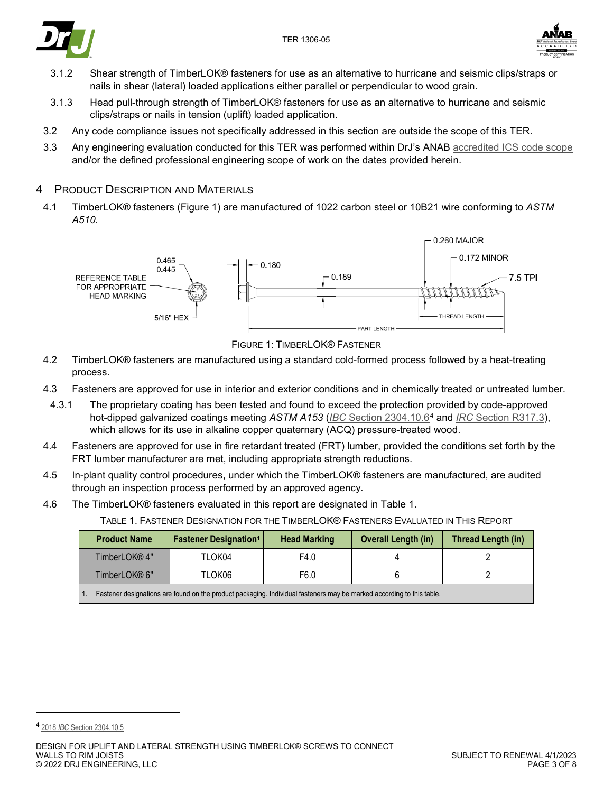



- 3.1.2 Shear strength of TimberLOK® fasteners for use as an alternative to hurricane and seismic clips/straps or nails in shear (lateral) loaded applications either parallel or perpendicular to wood grain.
- 3.1.3 Head pull-through strength of TimberLOK® fasteners for use as an alternative to hurricane and seismic clips/straps or nails in tension (uplift) loaded application.
- 3.2 Any code compliance issues not specifically addressed in this section are outside the scope of this TER.
- 3.3 Any engineering evaluation conducted for this TER was performed within DrJ's ANAB [accredited ICS code scope](https://www.drjcertification.org/sites/default/files/uploads/attachments/node/1717/Accredited_Certification_Body_Scope_Comparison.pdf) and/or the defined professional engineering scope of work on the dates provided herein.

#### 4 PRODUCT DESCRIPTION AND MATERIALS

4.1 TimberLOK® fasteners [\(Figure 1\)](#page-2-0) are manufactured of 1022 carbon steel or 10B21 wire conforming to *ASTM A510.*



FIGURE 1: TIMBERLOK® FASTENER

- <span id="page-2-0"></span>4.2 TimberLOK® fasteners are manufactured using a standard cold-formed process followed by a heat-treating process.
- 4.3 Fasteners are approved for use in interior and exterior conditions and in chemically treated or untreated lumber.
	- 4.3.1 The proprietary coating has been tested and found to exceed the protection provided by code-approved hot-dipped galvanized coatings meeting *ASTM A153* (*IBC* [Section 2304.10.6](https://www.drjcertification.org/2021/ibc/section-2304.10.6)[4](#page-2-2) and *IRC* [Section R317.3\)](https://www.drjcertification.org/2021/irc/section-R317.3), which allows for its use in alkaline copper quaternary (ACQ) pressure-treated wood.
- 4.4 Fasteners are approved for use in fire retardant treated (FRT) lumber, provided the conditions set forth by the FRT lumber manufacturer are met, including appropriate strength reductions.
- 4.5 In-plant quality control procedures, under which the TimberLOK® fasteners are manufactured, are audited through an inspection process performed by an approved agency.
- <span id="page-2-1"></span>4.6 The TimberLOK® fasteners evaluated in this report are designated in [Table 1.](#page-2-1)

TABLE 1. FASTENER DESIGNATION FOR THE TIMBERLOK® FASTENERS EVALUATED IN THIS REPORT

| <b>Product Name</b> | <b>Fastener Designation<sup>1</sup></b>                                                                               | <b>Head Marking</b> | <b>Overall Length (in)</b> | Thread Length (in) |  |
|---------------------|-----------------------------------------------------------------------------------------------------------------------|---------------------|----------------------------|--------------------|--|
| TimberLOK® 4"       | TLOK04                                                                                                                | F4.0                |                            |                    |  |
| TimberLOK® 6"       | TLOK06                                                                                                                | F6.0                |                            |                    |  |
|                     | Fastener designations are found on the product packaging. Individual fasteners may be marked according to this table. |                     |                            |                    |  |

-

<span id="page-2-2"></span><sup>4</sup> 2018 *IBC* [Section 2304.10.5](https://www.drjcertification.org/2018/ibc/section-2304.10.5)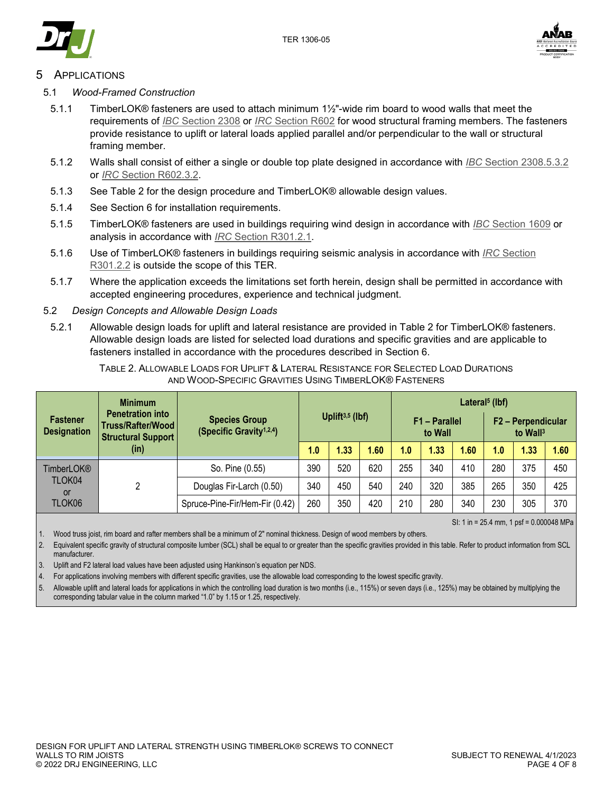



## **APPLICATIONS**

- 5.1 *Wood-Framed Construction*
	- 5.1.1 TimberLOK® fasteners are used to attach minimum 1½"-wide rim board to wood walls that meet the requirements of *IBC* [Section 2308](https://www.drjcertification.org/2021/ibc/section-2308) or *IRC* [Section R602](https://www.drjcertification.org/2021/irc/section-R602) for wood structural framing members. The fasteners provide resistance to uplift or lateral loads applied parallel and/or perpendicular to the wall or structural framing member.
	- 5.1.2 Walls shall consist of either a single or double top plate designed in accordance with *IBC* [Section 2308.5.3.2](https://www.drjcertification.org/2021/ibc/section-2308.5.3.2) or *IRC* [Section R602.3.2.](https://www.drjcertification.org/2021/irc/section-R602.3.2)
	- 5.1.3 See [Table 2](#page-3-0) for the design procedure and TimberLOK® allowable design values.
	- 5.1.4 See Section [6](#page-5-0) for installation requirements.
	- 5.1.5 TimberLOK® fasteners are used in buildings requiring wind design in accordance with *IBC* [Section 1609](https://www.drjcertification.org/2021/ibc/section-1609) or analysis in accordance with *IRC* [Section R301.2.1.](https://www.drjcertification.org/2021/irc/section-R301.2.1)
	- 5.1.6 Use of TimberLOK® fasteners in buildings requiring seismic analysis in accordance with *IRC* [Section](https://www.drjcertification.org/2021/irc/section-R301.2.2)  [R301.2.2](https://www.drjcertification.org/2021/irc/section-R301.2.2) is outside the scope of this TER.
	- 5.1.7 Where the application exceeds the limitations set forth herein, design shall be permitted in accordance with accepted engineering procedures, experience and technical judgment.

#### 5.2 *Design Concepts and Allowable Design Loads*

5.2.1 Allowable design loads for uplift and lateral resistance are provided in [Table 2](#page-3-0) for TimberLOK® fasteners. Allowable design loads are listed for selected load durations and specific gravities and are applicable to fasteners installed in accordance with the procedures described in Section [6.](#page-5-0)

| TABLE 2. ALLOWABLE LOADS FOR UPLIFT & LATERAL RESISTANCE FOR SELECTED LOAD DURATIONS |
|--------------------------------------------------------------------------------------|
| AND WOOD-SPECIFIC GRAVITIES USING TIMBERLOK® FASTENERS                               |

<span id="page-3-0"></span>

|                                       | <b>Minimum</b>                                                            |                                                              | Lateral <sup>5</sup> (lbf) |      |      |                          |      |      |                                            |      |      |
|---------------------------------------|---------------------------------------------------------------------------|--------------------------------------------------------------|----------------------------|------|------|--------------------------|------|------|--------------------------------------------|------|------|
| <b>Fastener</b><br><b>Designation</b> | <b>Penetration into</b><br>Truss/Rafter/Wood<br><b>Structural Support</b> | <b>Species Group</b><br>(Specific Gravity <sup>1,2,4</sup> ) | Uplift $3,5$ (lbf)         |      |      | F1 - Parallel<br>to Wall |      |      | F2 - Perpendicular<br>to Wall <sup>3</sup> |      |      |
|                                       | (in)                                                                      |                                                              | 1.0                        | 1.33 | 1.60 | 1.0                      | 1.33 | 1.60 | 1.0                                        | 1.33 | 1.60 |
| TimberLOK®                            |                                                                           | So. Pine (0.55)                                              | 390                        | 520  | 620  | 255                      | 340  | 410  | 280                                        | 375  | 450  |
| TLOK04<br>or                          | ົ                                                                         | Douglas Fir-Larch (0.50)                                     | 340                        | 450  | 540  | 240                      | 320  | 385  | 265                                        | 350  | 425  |
| TLOK06                                |                                                                           | Spruce-Pine-Fir/Hem-Fir (0.42)                               | 260                        | 350  | 420  | 210                      | 280  | 340  | 230                                        | 305  | 370  |

SI: 1 in = 25.4 mm, 1 psf = 0.000048 MPa

1. Wood truss joist, rim board and rafter members shall be a minimum of 2" nominal thickness. Design of wood members by others.

2. Equivalent specific gravity of structural composite lumber (SCL) shall be equal to or greater than the specific gravities provided in this table. Refer to product information from SCL manufacturer.

3. Uplift and F2 lateral load values have been adjusted using Hankinson's equation per NDS.

4. For applications involving members with different specific gravities, use the allowable load corresponding to the lowest specific gravity.

5. Allowable uplift and lateral loads for applications in which the controlling load duration is two months (i.e., 115%) or seven days (i.e., 125%) may be obtained by multiplying the corresponding tabular value in the column marked "1.0" by 1.15 or 1.25, respectively.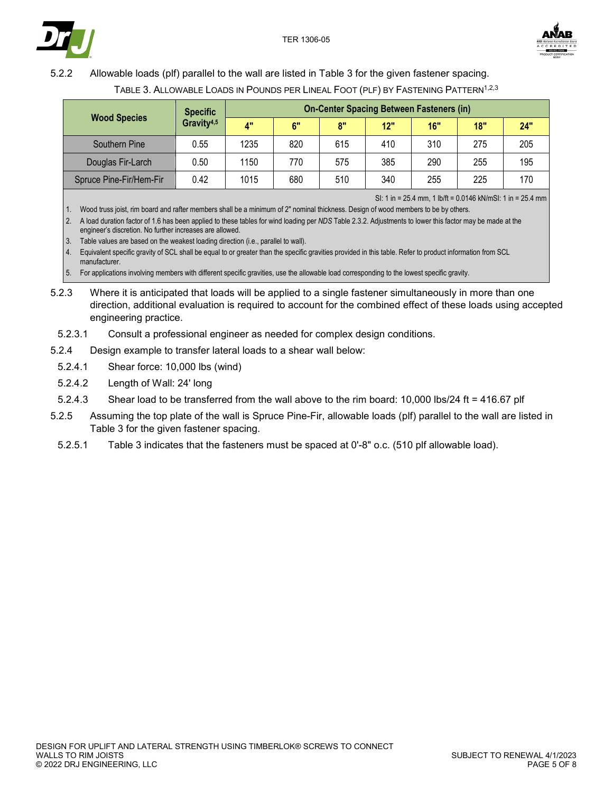



## <span id="page-4-0"></span>5.2.2 Allowable loads (plf) parallel to the wall are listed in [Table 3](#page-4-0) for the given fastener spacing.

|                         | <b>Specific</b>        | <b>On-Center Spacing Between Fasteners (in)</b> |     |     |     |     |     |     |  |
|-------------------------|------------------------|-------------------------------------------------|-----|-----|-----|-----|-----|-----|--|
| <b>Wood Species</b>     | Gravity <sup>4,5</sup> | $\mathbf{A}^{\mathbf{u}}$                       | 6"  | 8"  | 12" | 16" | 18" | 24" |  |
| Southern Pine           | 0.55                   | 1235                                            | 820 | 615 | 410 | 310 | 275 | 205 |  |
| Douglas Fir-Larch       | 0.50                   | 1150                                            | 770 | 575 | 385 | 290 | 255 | 195 |  |
| Spruce Pine-Fir/Hem-Fir | 0.42                   | 1015                                            | 680 | 510 | 340 | 255 | 225 | 170 |  |

TABLE 3. ALLOWABLE LOADS IN POUNDS PER LINEAL FOOT (PLF) BY FASTENING PATTERN<sup>1,2,3</sup>

SI: 1 in = 25.4 mm, 1 lb/ft = 0.0146 kN/mSI: 1 in = 25.4 mm

1. Wood truss joist, rim board and rafter members shall be a minimum of 2" nominal thickness. Design of wood members to be by others. 2. A load duration factor of 1.6 has been applied to these tables for wind loading per *NDS* Table 2.3.2. Adjustments to lower this factor may be made at the engineer's discretion. No further increases are allowed.

3. Table values are based on the weakest loading direction (i.e., parallel to wall).

4. Equivalent specific gravity of SCL shall be equal to or greater than the specific gravities provided in this table. Refer to product information from SCL manufacturer.

5. For applications involving members with different specific gravities, use the allowable load corresponding to the lowest specific gravity.

- 5.2.3 Where it is anticipated that loads will be applied to a single fastener simultaneously in more than one direction, additional evaluation is required to account for the combined effect of these loads using accepted engineering practice.
- 5.2.3.1 Consult a professional engineer as needed for complex design conditions.

5.2.4 Design example to transfer lateral loads to a shear wall below:

- 5.2.4.1 Shear force: 10,000 lbs (wind)
- 5.2.4.2 Length of Wall: 24' long
- 5.2.4.3 Shear load to be transferred from the wall above to the rim board: 10,000 lbs/24 ft = 416.67 plf
- 5.2.5 Assuming the top plate of the wall is Spruce Pine-Fir, allowable loads (plf) parallel to the wall are listed in [Table 3](#page-4-0) for the given fastener spacing.
- 5.2.5.1 [Table 3](#page-4-0) indicates that the fasteners must be spaced at 0'-8" o.c. (510 plf allowable load).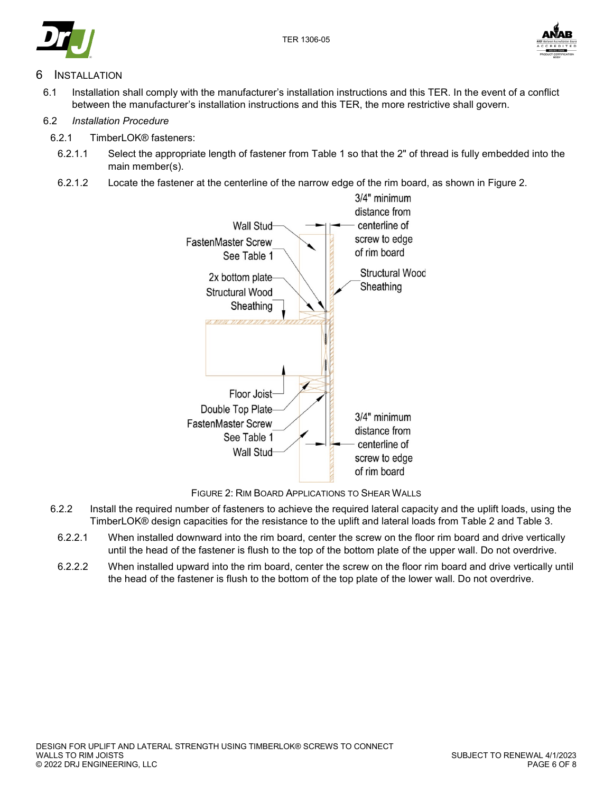





## <span id="page-5-0"></span>**INSTALLATION**

6.1 Installation shall comply with the manufacturer's installation instructions and this TER. In the event of a conflict between the manufacturer's installation instructions and this TER, the more restrictive shall govern.

#### 6.2 *Installation Procedure*

- 6.2.1 TimberLOK® fasteners:
- 6.2.1.1 Select the appropriate length of fastener from [Table 1](#page-2-1) so that the 2" of thread is fully embedded into the main member(s).
- 6.2.1.2 Locate the fastener at the centerline of the narrow edge of the rim board, as shown in [Figure 2.](#page-5-1)



FIGURE 2: RIM BOARD APPLICATIONS TO SHEAR WALLS

- <span id="page-5-1"></span>6.2.2 Install the required number of fasteners to achieve the required lateral capacity and the uplift loads, using the TimberLOK® design capacities for the resistance to the uplift and lateral loads from [Table 2](#page-3-0) and [Table 3.](#page-4-0)
	- 6.2.2.1 When installed downward into the rim board, center the screw on the floor rim board and drive vertically until the head of the fastener is flush to the top of the bottom plate of the upper wall. Do not overdrive.
	- 6.2.2.2 When installed upward into the rim board, center the screw on the floor rim board and drive vertically until the head of the fastener is flush to the bottom of the top plate of the lower wall. Do not overdrive.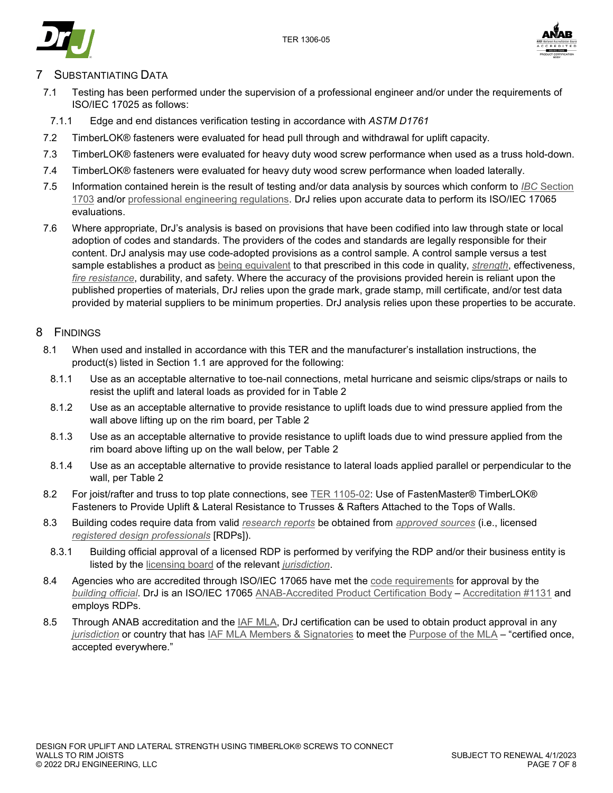



## SUBSTANTIATING DATA

- 7.1 Testing has been performed under the supervision of a professional engineer and/or under the requirements of ISO/IEC 17025 as follows:
- 7.1.1 Edge and end distances verification testing in accordance with *ASTM D1761*
- 7.2 TimberLOK® fasteners were evaluated for head pull through and withdrawal for uplift capacity.
- 7.3 TimberLOK® fasteners were evaluated for heavy duty wood screw performance when used as a truss hold-down.
- 7.4 TimberLOK® fasteners were evaluated for heavy duty wood screw performance when loaded laterally.
- 7.5 Information contained herein is the result of testing and/or data analysis by sources which conform to *IBC* [Section](https://www.drjcertification.org/2021/ibc/section-1703)  [1703](https://www.drjcertification.org/2021/ibc/section-1703) and/or [professional engineering regulations.](https://www.drjcertification.org/nspe-licensing-boards) DrJ relies upon accurate data to perform its ISO/IEC 17065 evaluations.
- 7.6 Where appropriate, DrJ's analysis is based on provisions that have been codified into law through state or local adoption of codes and standards. The providers of the codes and standards are legally responsible for their content. DrJ analysis may use code-adopted provisions as a control sample. A control sample versus a test sample establishes a product as [being equivalent](https://www.drjcertification.org/2021/ibc/section-104.11) to that prescribed in this code in quality, *[strength](https://www.drjcertification.org/2021/ibc/chapter-2/strength)*, effectiveness, *[fire resistance](https://www.drjcertification.org/2021/ibc/chapter-2/fire-resistance)*, durability, and safety. Where the accuracy of the provisions provided herein is reliant upon the published properties of materials, DrJ relies upon the grade mark, grade stamp, mill certificate, and/or test data provided by material suppliers to be minimum properties. DrJ analysis relies upon these properties to be accurate.

#### 8 FINDINGS

- 8.1 When used and installed in accordance with this TER and the manufacturer's installation instructions, the product(s) listed in Section [1.1](#page-1-3) are approved for the following:
	- 8.1.1 Use as an acceptable alternative to toe-nail connections, metal hurricane and seismic clips/straps or nails to resist the uplift and lateral loads as provided for in [Table 2](#page-3-0)
	- 8.1.2 Use as an acceptable alternative to provide resistance to uplift loads due to wind pressure applied from the wall above lifting up on the rim board, per [Table 2](#page-3-0)
	- 8.1.3 Use as an acceptable alternative to provide resistance to uplift loads due to wind pressure applied from the rim board above lifting up on the wall below, per [Table 2](#page-3-0)
	- 8.1.4 Use as an acceptable alternative to provide resistance to lateral loads applied parallel or perpendicular to the wall, per [Table 2](#page-3-0)
- 8.2 For joist/rafter and truss to top plate connections, see [TER 1105-02:](https://www.drjcertification.org/ter/1105-02) Use of FastenMaster® TimberLOK® Fasteners to Provide Uplift & Lateral Resistance to Trusses & Rafters Attached to the Tops of Walls.
- 8.3 Building codes require data from valid *[research reports](https://www.drjcertification.org/2021/ibc/section-1703.4.2/research-report)* be obtained from *[approved sources](https://www.drjcertification.org/2021/ibc/chapter-2/approved-source)* (i.e., licensed *[registered design professionals](https://www.drjcertification.org/2021/ibc/chapter-2/registered-design-professional)* [RDPs]).
- 8.3.1 Building official approval of a licensed RDP is performed by verifying the RDP and/or their business entity is listed by the [licensing board](https://www.drjcertification.org/nspe-licensing-boards) of the relevant *[jurisdiction](https://www.drjcertification.org/2021/ibc/chapter-2/jurisdiction)*.
- 8.4 Agencies who are accredited through ISO/IEC 17065 have met the [code requirements](https://www.drjcertification.org/2021/ibc/section-1703.1) for approval by the *[building official](https://www.drjcertification.org/2021/ibc/chapter-2/building-official)*. DrJ is an ISO/IEC 17065 [ANAB-Accredited Product Certification Body](https://www.drjcertification.org/anab-certification-bodies) – [Accreditation #1131](https://www.drjcertification.org/anab-accreditation-1131) and employs RDPs.
- 8.5 Through ANAB accreditation and the *IAF MLA*, DrJ certification can be used to obtain product approval in any *[jurisdiction](https://www.drjcertification.org/2021/ibc/chapter-2/jurisdiction)* or country that has [IAF MLA Members & Signatories](https://www.drjcertification.org/iaf-mla-signatories) to meet the [Purpose of the MLA](https://www.drjcertification.org/mla-purpose) – "certified once, accepted everywhere."